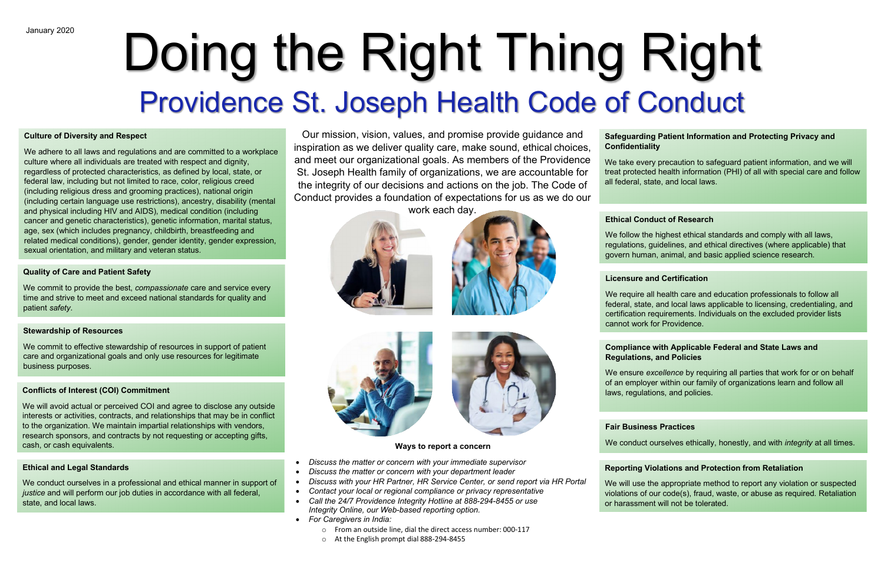Our mission, vision, values, and promise provide guidance and inspiration as we deliver quality care, make sound, ethical choices, and meet our organizational goals. As members of the Providence St. Joseph Health family of organizations, we are accountable for the integrity of our decisions and actions on the job. The Code of Conduct provides a foundation of expectations for us as we do our

work each day.







### **Ways to report a concern**

- *Discuss the matter or concern with your immediate supervisor*
- *Discuss the matter or concern with your department leader*
- *Discuss with your HR Partner, HR Service Center, or send report via HR Portal*
- *Contact your local or regional compliance or privacy representative*
- *Call the 24/7 Providence Integrity Hotline at 888-294-8455 or use Integrity Online, our Web-based reporting option.*
- *For Caregivers in India:*
	- o From an outside line, dial the direct access number: 000-117
	- o At the English prompt dial 888-294-8455

# **Safeguarding Patient Information and Protecting Privacy and Confidentiality**

We take every precaution to safeguard patient information, and we will treat protected health information (PHI) of all with special care and follow all federal, state, and local laws.

# Doing the Right Thing Right Providence St. Joseph Health Code of Conduct

## **Quality of Care and Patient Safety**

We commit to provide the best, *compassionate* care and service every time and strive to meet and exceed national standards for quality and patient *safety*.

## **Ethical and Legal Standards**

We conduct ourselves in a professional and ethical manner in support of *justice* and will perform our job duties in accordance with all federal, state, and local laws.

# **Fair Business Practices**

We conduct ourselves ethically, honestly, and with *integrity* at all times.

## **Culture of Diversity and Respect**

We adhere to all laws and regulations and are committed to a workplace culture where all individuals are treated with respect and dignity, regardless of protected characteristics, as defined by local, state, or federal law, including but not limited to race, color, religious creed (including religious dress and grooming practices), national origin (including certain language use restrictions), ancestry, disability (mental and physical including HIV and AIDS), medical condition (including cancer and genetic characteristics), genetic information, marital status, age, sex (which includes pregnancy, childbirth, breastfeeding and related medical conditions), gender, gender identity, gender expression, sexual orientation, and military and veteran status.

# **Licensure and Certification**

We require all health care and education professionals to follow all federal, state, and local laws applicable to licensing, credentialing, and certification requirements. Individuals on the excluded provider lists cannot work for Providence.

## **Conflicts of Interest (COI) Commitment**

We will avoid actual or perceived COI and agree to disclose any outside interests or activities, contracts, and relationships that may be in conflict to the organization. We maintain impartial relationships with vendors, research sponsors, and contracts by not requesting or accepting gifts, cash, or cash equivalents.

# **Compliance with Applicable Federal and State Laws and Regulations, and Policies**

We ensure *excellence* by requiring all parties that work for or on behalf of an employer within our family of organizations learn and follow all laws, regulations, and policies.

# **Ethical Conduct of Research**

We follow the highest ethical standards and comply with all laws, regulations, guidelines, and ethical directives (where applicable) that govern human, animal, and basic applied science research.

# **Reporting Violations and Protection from Retaliation**

We will use the appropriate method to report any violation or suspected violations of our code(s), fraud, waste, or abuse as required. Retaliation or harassment will not be tolerated.

# **Stewardship of Resources**

We commit to effective stewardship of resources in support of patient care and organizational goals and only use resources for legitimate business purposes.